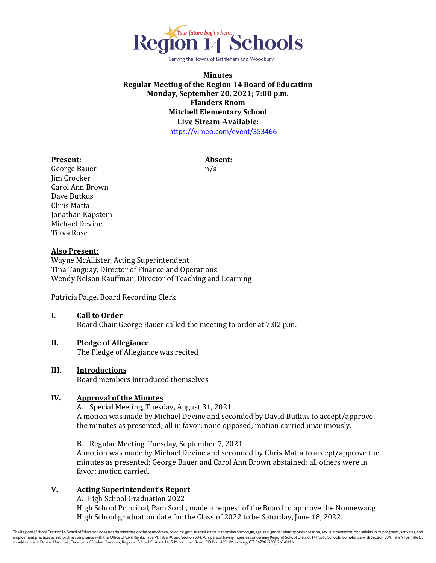

Serving the Towns of Bethlehem and Woodbury

**Minutes Regular Meeting of the Region 14 Board of Education Monday, September 20, 2021; 7:00 p.m. Flanders Room Mitchell Elementary School Live Stream Available:** <https://vimeo.com/event/353466>

#### **Present: Absent:**

George Bauer n/a Jim Crocker Carol Ann Brown Dave Butkus Chris Matta Jonathan Kapstein Michael Devine Tikva Rose

## **Also Present:**

Wayne McAllister, Acting Superintendent Tina Tanguay, Director of Finance and Operations Wendy Nelson Kauffman, Director of Teaching and Learning

Patricia Paige, Board Recording Clerk

## **I. Call to Order** Board Chair George Bauer called the meeting to order at 7:02 p.m.

## **II. Pledge of Allegiance**

The Pledge of Allegiance was recited

# **III. Introductions**

Board members introduced themselves

## **IV. Approval of the Minutes**

A. Special Meeting, Tuesday, August 31, 2021 A motion was made by Michael Devine and seconded by David Butkus to accept/approve the minutes as presented; all in favor; none opposed; motion carried unanimously.

B. Regular Meeting, Tuesday, September 7, 2021

A motion was made by Michael Devine and seconded by Chris Matta to accept/approve the minutes as presented; George Bauer and Carol Ann Brown abstained; all others were in favor; motion carried.

# **V. Acting Superintendent's Report**

A**.** High School Graduation 2022 High School Principal, Pam Sordi, made a request of the Board to approve the Nonnewaug High School graduation date for the Class of 2022 to be Saturday, June 18, 2022.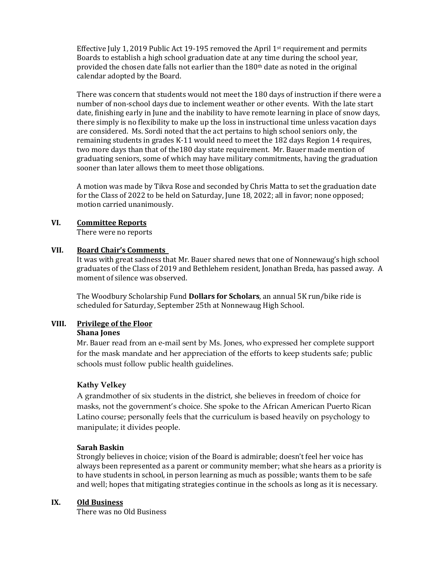Effective July 1, 2019 Public Act 19-195 removed the April  $1<sup>st</sup>$  requirement and permits Boards to establish a high school graduation date at any time during the school year, provided the chosen date falls not earlier than the 180th date as noted in the original calendar adopted by the Board.

There was concern that students would not meet the 180 days of instruction if there were a number of non-school days due to inclement weather or other events. With the late start date, finishing early in June and the inability to have remote learning in place of snow days, there simply is no flexibility to make up the loss in instructional time unless vacation days are considered. Ms. Sordi noted that the act pertains to high school seniors only, the remaining students in grades K-11 would need to meet the 182 days Region 14 requires, two more days than that of the180 day state requirement. Mr. Bauer made mention of graduating seniors, some of which may have military commitments, having the graduation sooner than later allows them to meet those obligations.

A motion was made by Tikva Rose and seconded by Chris Matta to set the graduation date for the Class of 2022 to be held on Saturday, June 18, 2022; all in favor; none opposed; motion carried unanimously.

## **VI. Committee Reports**

There were no reports

## **VII. Board Chair's Comments**

It was with great sadness that Mr. Bauer shared news that one of Nonnewaug's high school graduates of the Class of 2019 and Bethlehem resident, Jonathan Breda, has passed away. A moment of silence was observed.

The Woodbury Scholarship Fund **Dollars for Scholars**, an annual 5K run/bike ride is scheduled for Saturday, September 25th at Nonnewaug High School.

# **VIII. Privilege of the Floor**

## **Shana Jones**

Mr. Bauer read from an e-mail sent by Ms. Jones, who expressed her complete support for the mask mandate and her appreciation of the efforts to keep students safe; public schools must follow public health guidelines.

# **Kathy Velkey**

A grandmother of six students in the district, she believes in freedom of choice for masks, not the government's choice. She spoke to the African American Puerto Rican Latino course; personally feels that the curriculum is based heavily on psychology to manipulate; it divides people.

# **Sarah Baskin**

Strongly believes in choice; vision of the Board is admirable; doesn't feel her voice has always been represented as a parent or community member; what she hears as a priority is to have students in school, in person learning as much as possible; wants them to be safe and well; hopes that mitigating strategies continue in the schools as long as it is necessary.

# **IX. Old Business**

There was no Old Business